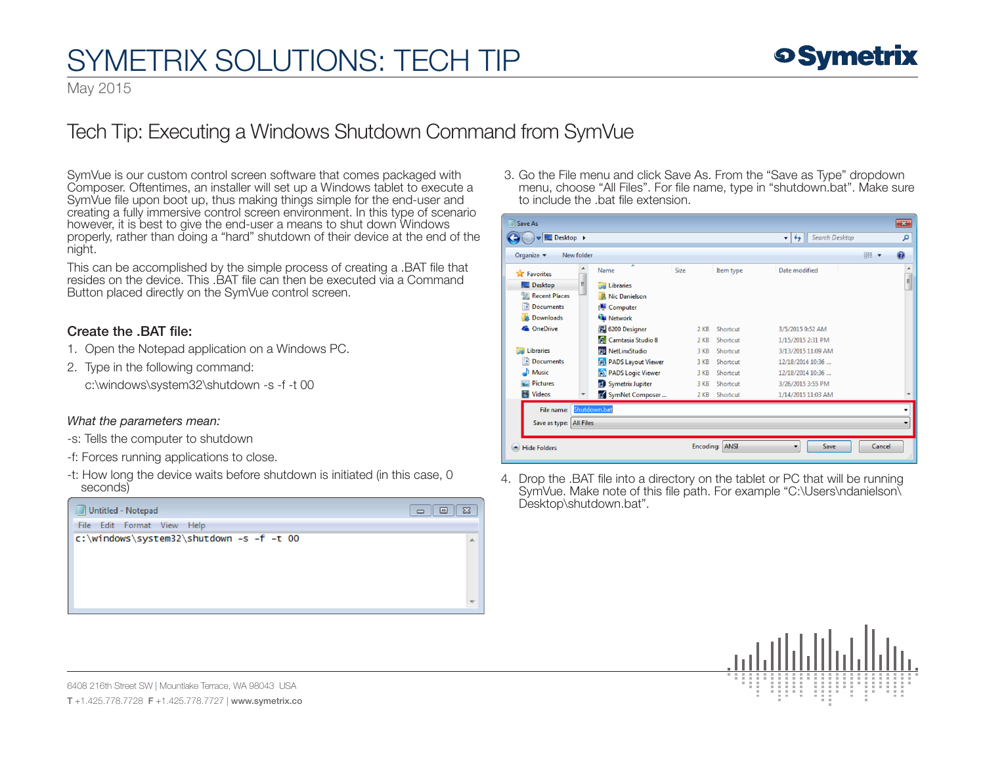# SYMETRIX SOLUTIONS: TECH TIP

May 2015

### Tech Tip: Executing a Windows Shutdown Command from SymVue

SymVue is our custom control screen software that comes packaged with Composer. Oftentimes, an installer will set up a Windows tablet to execute a SymVue file upon boot up, thus making things simple for the end-user and creating a fully immersive control screen environment. In this type of scenario however, it is best to give the end-user a means to shut down Windows properly, rather than doing a "hard" shutdown of their device at the end of the night.

This can be accomplished by the simple process of creating a .BAT file that resides on the device. This .BAT file can then be executed via a Command Button placed directly on the SymVue control screen.

### Create the .BAT file:

- 1. Open the Notepad application on a Windows PC.
- 2. Type in the following command:

c:\windows\system32\shutdown -s -f -t 00

#### *What the parameters mean:*

- -s: Tells the computer to shutdown
- -f: Forces running applications to close.
- -t: How long the device waits before shutdown is initiated (in this case, 0 seconds)



 3. Go the File menu and click Save As. From the "Save as Type" dropdown menu, choose "All Files". For file name, type in "shutdown.bat". Make sure to include the .bat file extension.

| Save As                      |            |                            |        |                |                            |        | $\overline{\mathbf{x}}$ |
|------------------------------|------------|----------------------------|--------|----------------|----------------------------|--------|-------------------------|
| $\Box$ Desktop $\rightarrow$ |            |                            |        |                | Search Desktop<br>$+$<br>÷ |        | م                       |
| Organize -                   | New folder |                            |        |                |                            | 88 ▼   | $\mathbf \Omega$        |
| <b>X</b> Favorites           |            | ×<br>Name                  | Size   | Item type      | Date modified              |        | ▲                       |
| Desktop                      | Ξ          | <b>Ed Libraries</b>        |        |                |                            |        | a                       |
| 圖 Recent Places              |            | <b>A. Nic Danielson</b>    |        |                |                            |        |                         |
| Documents                    |            | Computer                   |        |                |                            |        |                         |
| Downloads                    |            | <b>Cu</b> Network          |        |                |                            |        |                         |
| <b>C</b> OneDrive            |            | <b>R</b> 6200 Designer     | $2$ KB | Shortcut       | 3/5/2015 9:52 AM           |        |                         |
|                              |            | <b>A</b> Camtasia Studio 8 | $2$ KB | Shortcut       | 1/15/2015 2:31 PM          |        |                         |
| <b>Libraries</b>             |            | as NetLinxStudio           | 3 KB   | Shortcut       | 3/13/2015 11:09 AM         |        |                         |
| P.<br><b>Documents</b>       |            | <b>PADS Layout Viewer</b>  | 3 KB   | Shortcut       | 12/18/2014 10:36           |        |                         |
| Music                        |            | <b>PADS Logic Viewer</b>   | 3 KB   | Shortcut       | 12/18/2014 10:36           |        |                         |
| <b>Pictures</b>              |            | Symetrix Jupiter           | 3 KB   | Shortcut       | 3/26/2015 3:55 PM          |        |                         |
| Ħ<br><b>Videos</b>           |            | a SymNet Composer          | 2 KB   | Shortcut       | 1/14/2015 11:03 AM         |        |                         |
| File name:                   |            | Shutdown.bat               |        |                |                            |        |                         |
| Save as type: All Files      |            |                            |        |                |                            |        |                         |
| <b>Hide Folders</b>          |            |                            |        | Encoding: ANSI | Save<br>۰                  | Cancel | đ                       |

4. Drop the .BAT file into a directory on the tablet or PC that will be running SymVue. Make note of this file path. For example "C:\Users\ndanielson\<br>Desktop\shutdown.bat".



6408 216th Street SW | Mountlake Terrace, WA 98043 USA T +1.425.778.7728 F +1.425.778.7727 | www.symetrix.co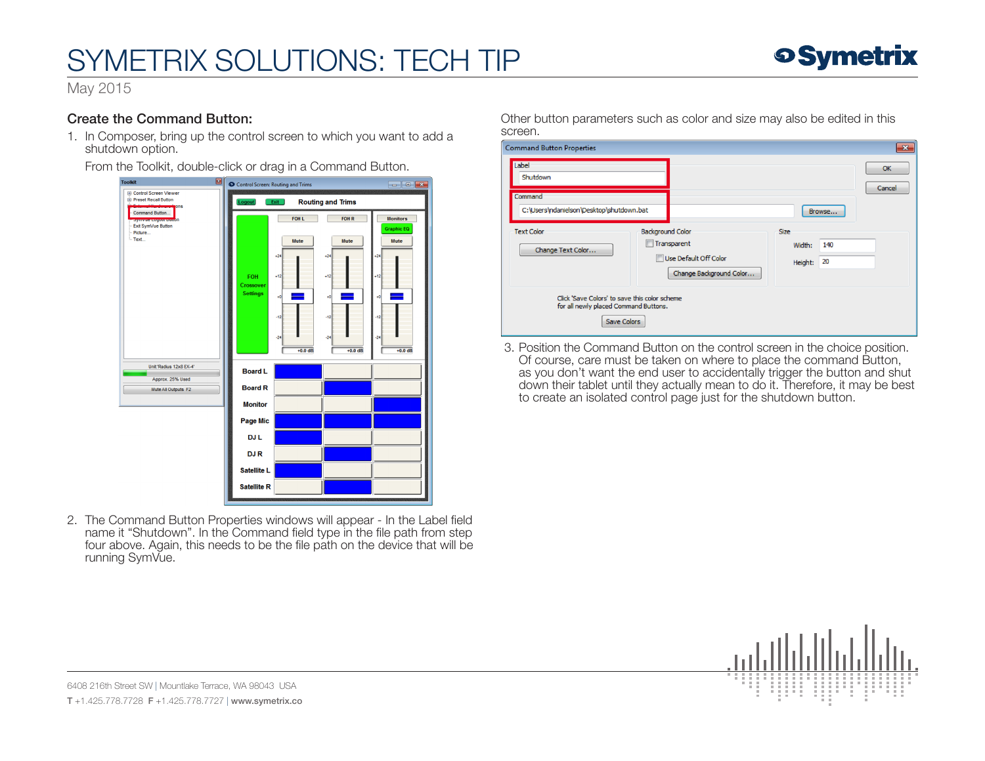# SYMETRIX SOLUTIONS: TECH TIP



May 2015

### Create the Command Button:

1. In Composer, bring up the control screen to which you want to add a shutdown option.

From the Toolkit, double-click or drag in a Command Button.

| Ø<br><b>Toolkit</b>                                                     | Control Screen: Routing and Trims                 |                |                |                                      |  |  |
|-------------------------------------------------------------------------|---------------------------------------------------|----------------|----------------|--------------------------------------|--|--|
| <b>E</b> Control Screen Viewer<br><b>E</b> Preset Recall Button<br>ions | <b>Routing and Trims</b><br><b>Logout</b><br>Exit |                |                |                                      |  |  |
| Command Button<br><b>Donou pogour powinke</b><br>Exit SymVue Button     |                                                   | FOH L          | <b>FOH R</b>   | <b>Monitors</b><br><b>Graphic EQ</b> |  |  |
| Picture<br>$-Text$                                                      |                                                   | Mute           | Mute           | Mute                                 |  |  |
|                                                                         |                                                   | $+24$<br>$+12$ | $+24$<br>$+12$ | $+24$<br>$+12$                       |  |  |
|                                                                         | FOH<br>Crossover<br><b>Settings</b>               | 40             | $+0$           | $+0$                                 |  |  |
|                                                                         |                                                   | $-12$          | $-12$          | $-12$                                |  |  |
|                                                                         |                                                   | $-24$          | $-24$          | $-24$                                |  |  |
|                                                                         |                                                   | $+0.0$ dB      | $+0.0$ dB      | $+0.0$ dB                            |  |  |
| Unit:'Radius 12x8 EX-4'<br>Approx. 25% Used                             | <b>Board L</b>                                    |                |                |                                      |  |  |
| Mute All Outputs F2                                                     | <b>Board R</b>                                    |                |                |                                      |  |  |
|                                                                         | <b>Monitor</b>                                    |                |                |                                      |  |  |
|                                                                         | Page Mic                                          |                |                |                                      |  |  |
|                                                                         | <b>DJL</b>                                        |                |                |                                      |  |  |
|                                                                         | <b>DJR</b>                                        |                |                |                                      |  |  |
|                                                                         | Satellite L                                       |                |                |                                      |  |  |
|                                                                         | <b>Satellite R</b>                                |                |                |                                      |  |  |
|                                                                         |                                                   |                |                |                                      |  |  |

2. The Command Button Properties windows will appear - In the Label field name it "Shutdown". In the Command field type in the file path from step four above. Again, this needs to be the file path on the device that will be running SymVue.

Other button parameters such as color and size may also be edited in this screen.

| <b>Command Button Properties</b>                                                                             |                                                                                            |                                               | $\mathbf{x}$        |
|--------------------------------------------------------------------------------------------------------------|--------------------------------------------------------------------------------------------|-----------------------------------------------|---------------------|
| Label<br>Shutdown                                                                                            |                                                                                            |                                               | <b>OK</b><br>Cancel |
| Command<br>C:\Users\ndanielson\Desktop\shutdown.bat                                                          |                                                                                            | Browse                                        |                     |
| <b>Text Color</b><br>Change Text Color                                                                       | <b>Background Color</b><br>Transparent<br>Use Default Off Color<br>Change Background Color | <b>Size</b><br>140<br>Width:<br>20<br>Height: |                     |
| Click 'Save Colors' to save this color scheme<br>for all newly placed Command Buttons.<br><b>Save Colors</b> |                                                                                            |                                               |                     |

 3. Position the Command Button on the control screen in the choice position. Of course, care must be taken on where to place the command Button, as you don't want the end user to accidentally trigger the button and shut down their tablet until they actually mean to do it. Therefore, it may be best to create an isolated control page just for the shutdown button.



6408 216th Street SW | Mountlake Terrace, WA 98043 USA T +1.425.778.7728 F +1.425.778.7727 | www.symetrix.co